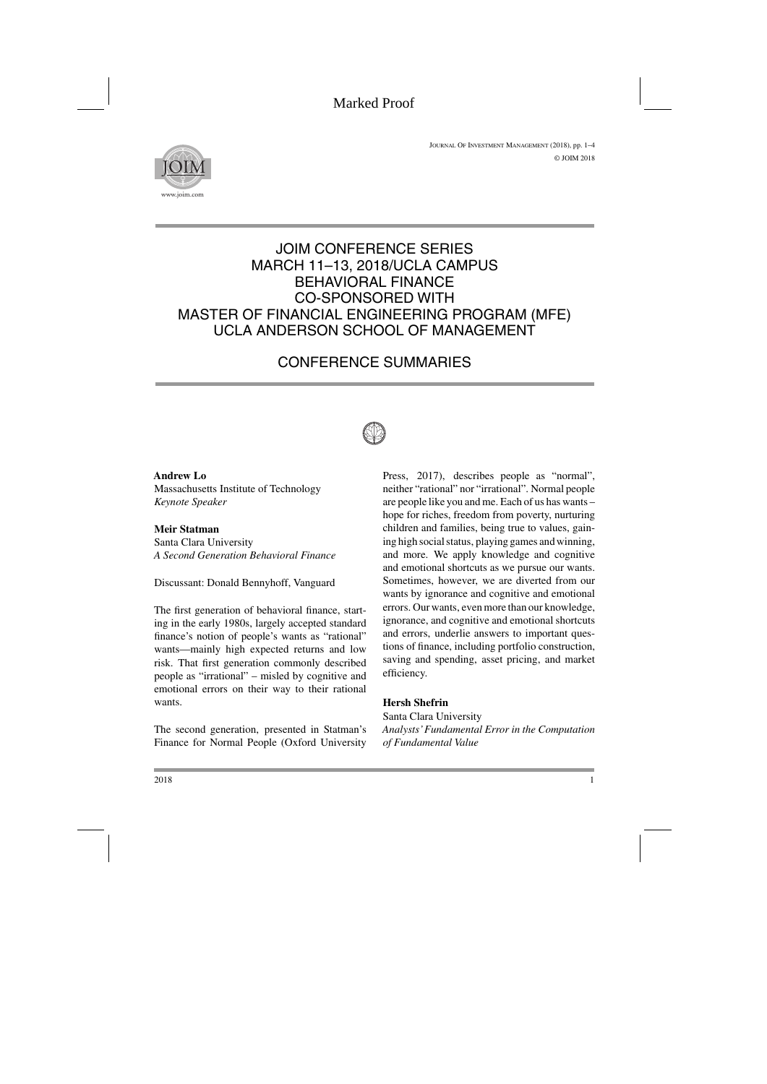

## JOIM CONFERENCE SERIES MARCH 11–13, 2018/UCLA CAMPUS BEHAVIORAL FINANCE CO-SPONSORED WITH MASTER OF FINANCIAL ENGINEERING PROGRAM (MFE) UCLA ANDERSON SCHOOL OF MANAGEMENT

# CONFERENCE SUMMARIES



**Andrew Lo** Massachusetts Institute of Technology *Keynote Speaker*

**Meir Statman** Santa Clara University *A Second Generation Behavioral Finance*

Discussant: Donald Bennyhoff, Vanguard

The first generation of behavioral finance, starting in the early 1980s, largely accepted standard finance's notion of people's wants as "rational" wants—mainly high expected returns and low risk. That first generation commonly described people as "irrational" – misled by cognitive and emotional errors on their way to their rational wants.

The second generation, presented in Statman's Finance for Normal People (Oxford University Press, 2017), describes people as "normal", neither "rational" nor "irrational". Normal people are people like you and me. Each of us has wants – hope for riches, freedom from poverty, nurturing children and families, being true to values, gaining high social status, playing games and winning, and more. We apply knowledge and cognitive and emotional shortcuts as we pursue our wants. Sometimes, however, we are diverted from our wants by ignorance and cognitive and emotional errors. Our wants, even more than our knowledge, ignorance, and cognitive and emotional shortcuts and errors, underlie answers to important questions of finance, including portfolio construction, saving and spending, asset pricing, and market efficiency.

## **Hersh Shefrin**

Santa Clara University *Analysts'Fundamental Error in the Computation of Fundamental Value*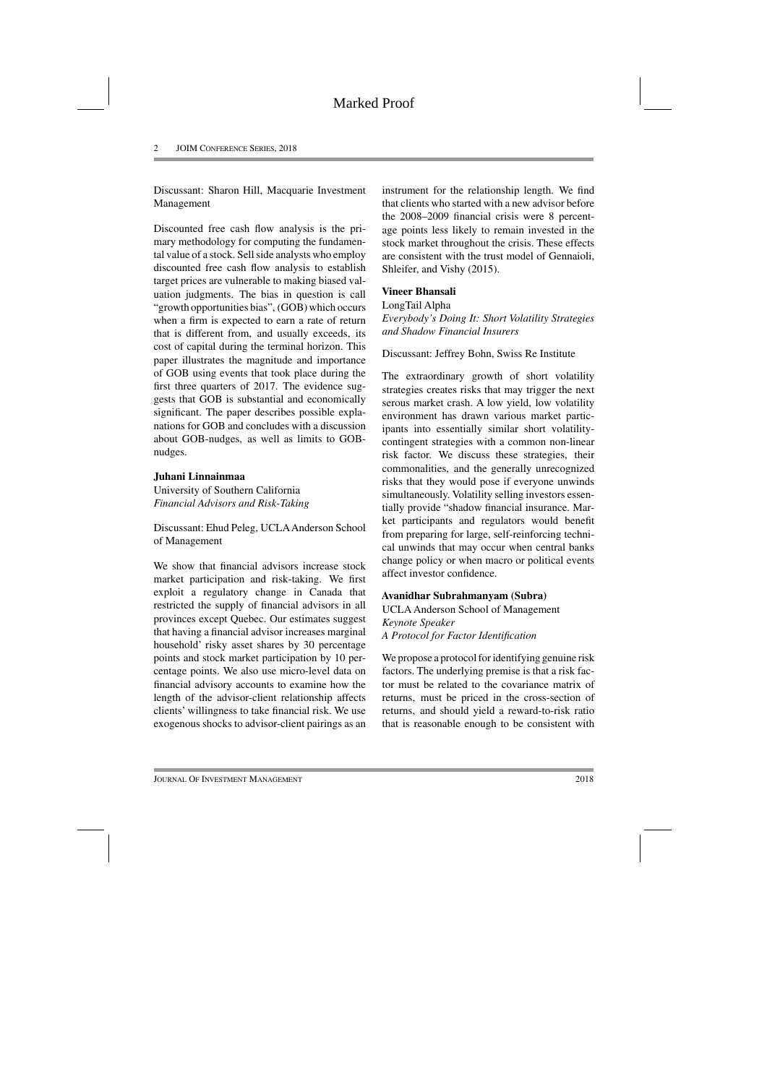Discussant: Sharon Hill, Macquarie Investment Management

Discounted free cash flow analysis is the primary methodology for computing the fundamental value of a stock. Sell side analysts who employ discounted free cash flow analysis to establish target prices are vulnerable to making biased valuation judgments. The bias in question is call "growth opportunities bias", (GOB) which occurs when a firm is expected to earn a rate of return that is different from, and usually exceeds, its cost of capital during the terminal horizon. This paper illustrates the magnitude and importance of GOB using events that took place during the first three quarters of 2017. The evidence suggests that GOB is substantial and economically significant. The paper describes possible explanations for GOB and concludes with a discussion about GOB-nudges, as well as limits to GOBnudges.

## **Juhani Linnainmaa**

University of Southern California *Financial Advisors and Risk-Taking*

Discussant: Ehud Peleg, UCLAAnderson School of Management

We show that financial advisors increase stock market participation and risk-taking. We first exploit a regulatory change in Canada that restricted the supply of financial advisors in all provinces except Quebec. Our estimates suggest that having a financial advisor increases marginal household' risky asset shares by 30 percentage points and stock market participation by 10 percentage points. We also use micro-level data on financial advisory accounts to examine how the length of the advisor-client relationship affects clients' willingness to take financial risk. We use exogenous shocks to advisor-client pairings as an instrument for the relationship length. We find that clients who started with a new advisor before the 2008–2009 financial crisis were 8 percentage points less likely to remain invested in the stock market throughout the crisis. These effects are consistent with the trust model of Gennaioli, Shleifer, and Vishy (2015).

## **Vineer Bhansali**

LongTail Alpha

*Everybody's Doing It: Short Volatility Strategies and Shadow Financial Insurers*

Discussant: Jeffrey Bohn, Swiss Re Institute

The extraordinary growth of short volatility strategies creates risks that may trigger the next serous market crash. A low yield, low volatility environment has drawn various market participants into essentially similar short volatilitycontingent strategies with a common non-linear risk factor. We discuss these strategies, their commonalities, and the generally unrecognized risks that they would pose if everyone unwinds simultaneously. Volatility selling investors essentially provide "shadow financial insurance. Market participants and regulators would benefit from preparing for large, self-reinforcing technical unwinds that may occur when central banks change policy or when macro or political events affect investor confidence.

## **Avanidhar Subrahmanyam (Subra)**

UCLA Anderson School of Management *Keynote Speaker A Protocol for Factor Identification*

We propose a protocol for identifying genuine risk factors. The underlying premise is that a risk factor must be related to the covariance matrix of returns, must be priced in the cross-section of returns, and should yield a reward-to-risk ratio that is reasonable enough to be consistent with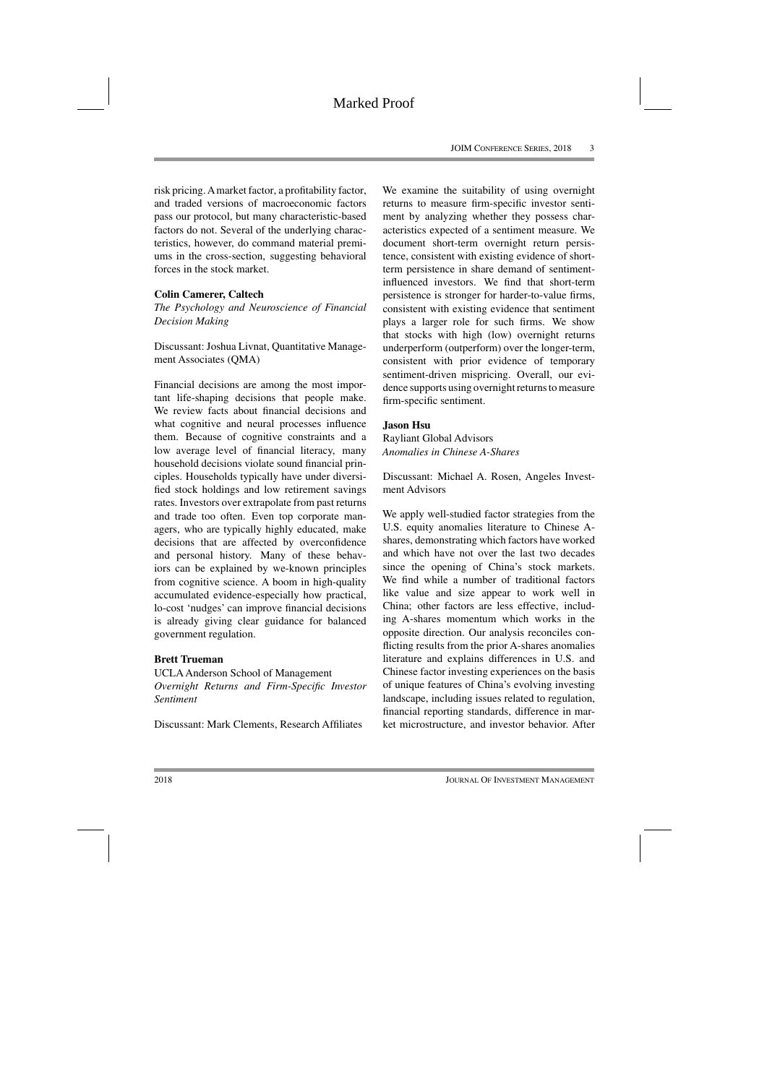risk pricing. Amarket factor, a profitability factor, and traded versions of macroeconomic factors pass our protocol, but many characteristic-based factors do not. Several of the underlying characteristics, however, do command material premiums in the cross-section, suggesting behavioral forces in the stock market.

#### **Colin Camerer, Caltech**

*The Psychology and Neuroscience of Financial Decision Making*

Discussant: Joshua Livnat, Quantitative Management Associates (QMA)

Financial decisions are among the most important life-shaping decisions that people make. We review facts about financial decisions and what cognitive and neural processes influence them. Because of cognitive constraints and a low average level of financial literacy, many household decisions violate sound financial principles. Households typically have under diversified stock holdings and low retirement savings rates. Investors over extrapolate from past returns and trade too often. Even top corporate managers, who are typically highly educated, make decisions that are affected by overconfidence and personal history. Many of these behaviors can be explained by we-known principles from cognitive science. A boom in high-quality accumulated evidence-especially how practical, lo-cost 'nudges' can improve financial decisions is already giving clear guidance for balanced government regulation.

#### **Brett Trueman**

UCLA Anderson School of Management *Overnight Returns and Firm-Specific Investor Sentiment*

Discussant: Mark Clements, Research Affiliates

We examine the suitability of using overnight returns to measure firm-specific investor sentiment by analyzing whether they possess characteristics expected of a sentiment measure. We document short-term overnight return persistence, consistent with existing evidence of shortterm persistence in share demand of sentimentinfluenced investors. We find that short-term persistence is stronger for harder-to-value firms, consistent with existing evidence that sentiment plays a larger role for such firms. We show that stocks with high (low) overnight returns underperform (outperform) over the longer-term, consistent with prior evidence of temporary sentiment-driven mispricing. Overall, our evidence supports using overnight returns to measure firm-specific sentiment.

#### **Jason Hsu**

Rayliant Global Advisors *Anomalies in Chinese A-Shares*

Discussant: Michael A. Rosen, Angeles Investment Advisors

We apply well-studied factor strategies from the U.S. equity anomalies literature to Chinese Ashares, demonstrating which factors have worked and which have not over the last two decades since the opening of China's stock markets. We find while a number of traditional factors like value and size appear to work well in China; other factors are less effective, including A-shares momentum which works in the opposite direction. Our analysis reconciles conflicting results from the prior A-shares anomalies literature and explains differences in U.S. and Chinese factor investing experiences on the basis of unique features of China's evolving investing landscape, including issues related to regulation, financial reporting standards, difference in market microstructure, and investor behavior. After